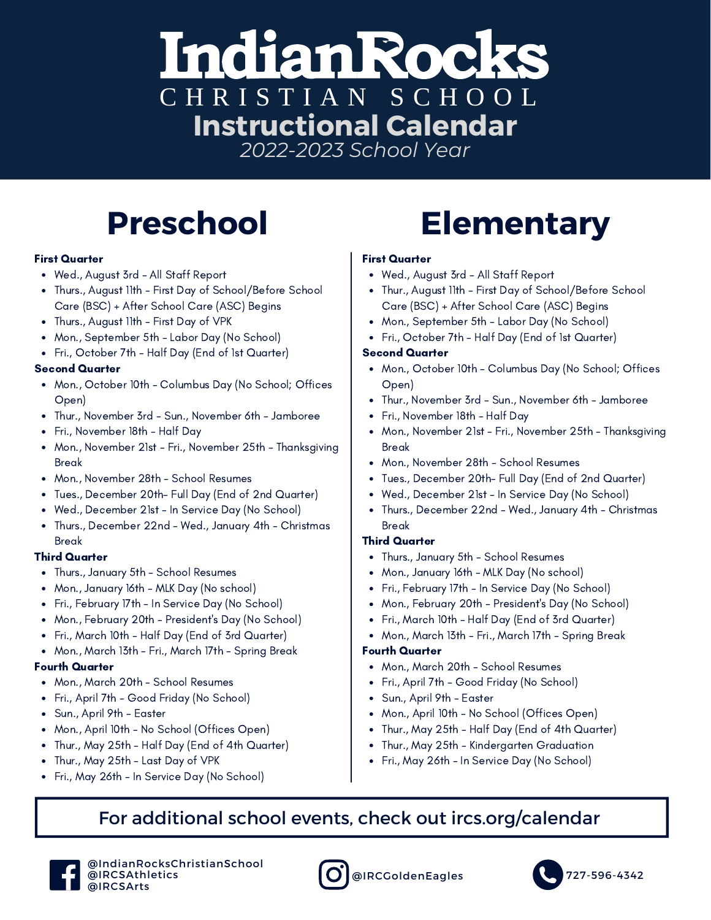### **Indian Rocks** CHRISTIAN SCHOOL **Instructional Calendar** *2022-2023 School Year*

#### First Quarter

- Wed., August 3rd All Staff Report
- Thurs., August 11th First Day of School/Before School Care (BSC) + After School Care (ASC) Begins
- Thurs., August 11th First Day of VPK
- Mon., September 5th Labor Day (No School)
- Fri., October 7th Half Day (End of 1st Quarter)

#### Second Quarter

- Mon., October 10th Columbus Day (No School; Offices Open)
- Thur., November 3rd Sun., November 6th Jamboree
- Fri., November 18th Half Day
- Mon., November 21st Fri., November 25th Thanksgiving Break
- Mon., November 28th School Resumes
- Tues., December 20th- Full Day (End of 2nd Quarter)
- Wed., December 21st In Service Day (No School)
- Thurs., December 22nd Wed., January 4th Christmas Break

#### Third Quarter

- Thurs., January 5th School Resumes
- Mon., January 16th MLK Day (No school)
- Fri., February 17th In Service Day (No School)
- Mon., February 20th President's Day (No School)
- Fri., March 10th Half Day (End of 3rd Quarter)
- Mon., March 13th Fri., March 17th Spring Break

#### Fourth Quarter

- Mon., March 20th School Resumes
- Fri., April 7th Good Friday (No School)
- Sun., April 9th Easter
- Mon., April 10th No School (Offices Open)
- Thur., May 25th Half Day (End of 4th Quarter)
- Thur., May 25th Last Day of VPK
- Fri., May 26th In Service Day (No School)

# **Preschool Elementary**

#### First Quarter

- Wed., August 3rd All Staff Report
- Thur., August 11th First Day of School/Before School Care (BSC) + After School Care (ASC) Begins
- Mon., September 5th Labor Day (No School)
- Fri., October 7th Half Day (End of 1st Quarter)

#### Second Quarter

- Mon., October 10th Columbus Day (No School; Offices Open)
- Thur., November 3rd Sun., November 6th Jamboree
- Fri., November 18th Half Day
- Mon., November 21st Fri., November 25th Thanksgiving Break
- Mon., November 28th School Resumes
- Tues., December 20th- Full Day (End of 2nd Quarter)
- Wed., December 21st In Service Day (No School)
- Thurs., December 22nd Wed., January 4th Christmas Break

#### Third Quarter

- Thurs., January 5th School Resumes
- Mon., January 16th MLK Day (No school)
- Fri., February 17th In Service Day (No School)
- Mon., February 20th President's Day (No School)
- Fri., March 10th Half Day (End of 3rd Quarter)
- Mon., March 13th Fri., March 17th Spring Break

### Fourth Quarter

- Mon., March 20th School Resumes
- Fri., April 7th Good Friday (No School)
- Sun., April 9th Easter
- Mon., April 10th No School (Offices Open)
- Thur., May 25th Half Day (End of 4th Quarter)
- Thur., May 25th Kindergarten Graduation
- Fri., May 26th In Service Day (No School)

### For additional school events, check out ircs.org/calendar





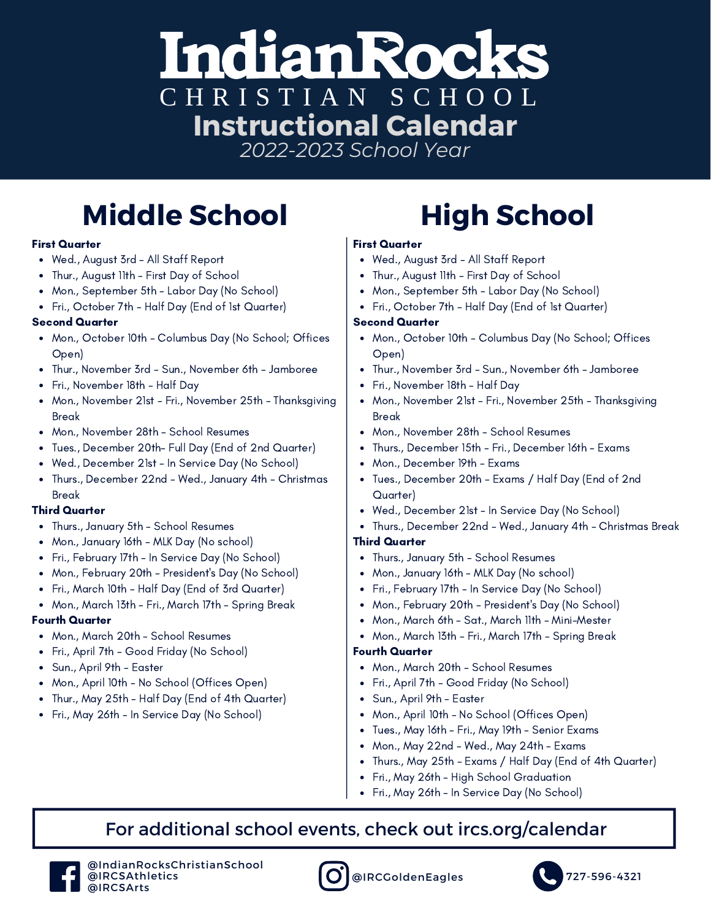### IndianRock C H R I S T I A N S C H O O L **Instructional Calendar** *2022-2023 School Year*

## **Middle School High School**

#### First Quarter

- Wed., August 3rd All Staff Report
- Thur., August 11th First Day of School
- Mon., September 5th Labor Day (No School)
- Fri., October 7th Half Day (End of 1st Quarter)

#### Second Quarter

- Mon., October 10th Columbus Day (No School; Offices Open)
- Thur., November 3rd Sun., November 6th Jamboree
- Fri., November 18th Half Day
- Mon., November 21st Fri., November 25th Thanksgiving Break
- Mon., November 28th School Resumes
- Tues., December 20th- Full Day (End of 2nd Quarter)
- Wed., December 21st In Service Day (No School)
- Thurs., December 22nd Wed., January 4th Christmas Break

#### Third Quarter

- Thurs., January 5th School Resumes
- Mon., January 16th MLK Day (No school)
- Fri., February 17th In Service Day (No School)
- Mon., February 20th President's Day (No School)
- Fri., March 10th Half Day (End of 3rd Quarter)
- Mon., March 13th Fri., March 17th Spring Break

#### Fourth Quarter

- Mon., March 20th School Resumes
- Fri., April 7th Good Friday (No School)
- Sun., April 9th Easter
- Mon., April 10th No School (Offices Open)
- Thur., May 25th Half Day (End of 4th Quarter)
- Fri., May 26th In Service Day (No School)

#### First Quarter

- Wed., August 3rd All Staff Report
- Thur., August 11th First Day of School
- Mon., September 5th Labor Day (No School)
- Fri., October 7th Half Day (End of 1st Quarter)

#### Second Quarter

- Mon., October 10th Columbus Day (No School; Offices Open)
- Thur., November 3rd Sun., November 6th Jamboree
- Fri., November 18th Half Day
- Mon., November 21st Fri., November 25th Thanksgiving Break
- Mon., November 28th School Resumes
- Thurs., December 15th Fri., December 16th Exams
- Mon., December 19th Exams
- Tues., December 20th Exams / Half Day (End of 2nd Quarter)
- Wed., December 21st In Service Day (No School)
- Thurs., December 22nd Wed., January 4th Christmas Break

#### Third Quarter

- Thurs., January 5th School Resumes
- Mon., January 16th MLK Day (No school)
- Fri., February 17th In Service Day (No School)
- Mon., February 20th President's Day (No School)
- Mon., March 6th Sat., March 11th Mini-Mester
- Mon., March 13th Fri., March 17th Spring Break

#### Fourth Quarter

- Mon., March 20th School Resumes
- Fri., April 7th Good Friday (No School)
- Sun., April 9th Easter
- Mon., April 10th No School (Offices Open)
- Tues., May 16th Fri., May 19th Senior Exams
- Mon., May 22nd Wed., May 24th Exams
- Thurs., May 25th Exams / Half Day (End of 4th Quarter)
- Fri., May 26th High School Graduation
- Fri., May 26th In Service Day (No School)

### For additional school events, check out ircs.org/calendar